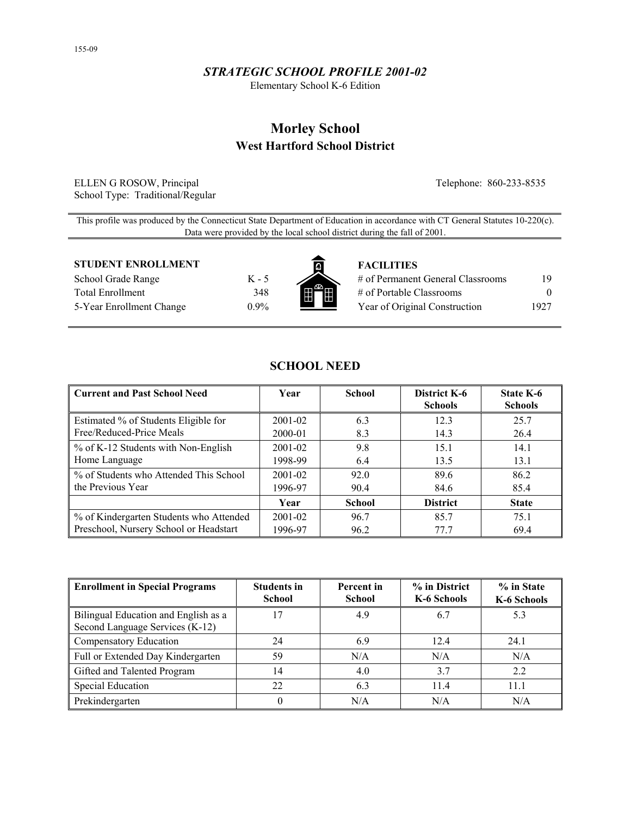# *STRATEGIC SCHOOL PROFILE 2001-02*

Elementary School K-6 Edition

# **Morley School West Hartford School District**

ELLEN G ROSOW, Principal Telephone: 860-233-8535 School Type: Traditional/Regular

This profile was produced by the Connecticut State Department of Education in accordance with CT General Statutes 10-220(c). Data were provided by the local school district during the fall of 2001.

#### **STUDENT ENROLLMENT FACILITIES**

School Grade Range K - 5 Total Enrollment 348 5-Year Enrollment Change 0.9%



| # of Permanent General Classrooms | 19       |
|-----------------------------------|----------|
| # of Portable Classrooms          | $\theta$ |
| Year of Original Construction     | 1927     |

| <b>Current and Past School Need</b>     | Year        | <b>School</b> | District K-6<br><b>Schools</b> | State K-6<br><b>Schools</b> |
|-----------------------------------------|-------------|---------------|--------------------------------|-----------------------------|
| Estimated % of Students Eligible for    | $2001 - 02$ | 6.3           | 123                            | 25.7                        |
| Free/Reduced-Price Meals                | 2000-01     | 8.3           | 14.3                           | 26.4                        |
| % of K-12 Students with Non-English     | $2001 - 02$ | 9.8           | 15.1                           | 14.1                        |
| Home Language                           | 1998-99     | 6.4           | 13.5                           | 13.1                        |
| % of Students who Attended This School  | $2001 - 02$ | 92.0          | 89.6                           | 86.2                        |
| the Previous Year                       | 1996-97     | 90.4          | 84.6                           | 85.4                        |
|                                         | Year        | <b>School</b> | <b>District</b>                | <b>State</b>                |
| % of Kindergarten Students who Attended | $2001 - 02$ | 96.7          | 85.7                           | 75.1                        |
| Preschool, Nursery School or Headstart  | 1996-97     | 96.2          | 77.7                           | 69.4                        |

**SCHOOL NEED** 

| <b>Enrollment in Special Programs</b>                                   | <b>Students in</b><br><b>School</b> | Percent in<br><b>School</b> | % in District<br>K-6 Schools | % in State<br>K-6 Schools |
|-------------------------------------------------------------------------|-------------------------------------|-----------------------------|------------------------------|---------------------------|
| Bilingual Education and English as a<br>Second Language Services (K-12) | 17                                  | 4.9                         | 6.7                          | 5.3                       |
| Compensatory Education                                                  | 24                                  | 6.9                         | 12.4                         | 24.1                      |
| Full or Extended Day Kindergarten                                       | 59                                  | N/A                         | N/A                          | N/A                       |
| Gifted and Talented Program                                             | 14                                  | 4.0                         | 37                           | 2.2                       |
| <b>Special Education</b>                                                | 22                                  | 6.3                         | 11.4                         | 11.1                      |
| Prekindergarten                                                         |                                     | N/A                         | N/A                          | N/A                       |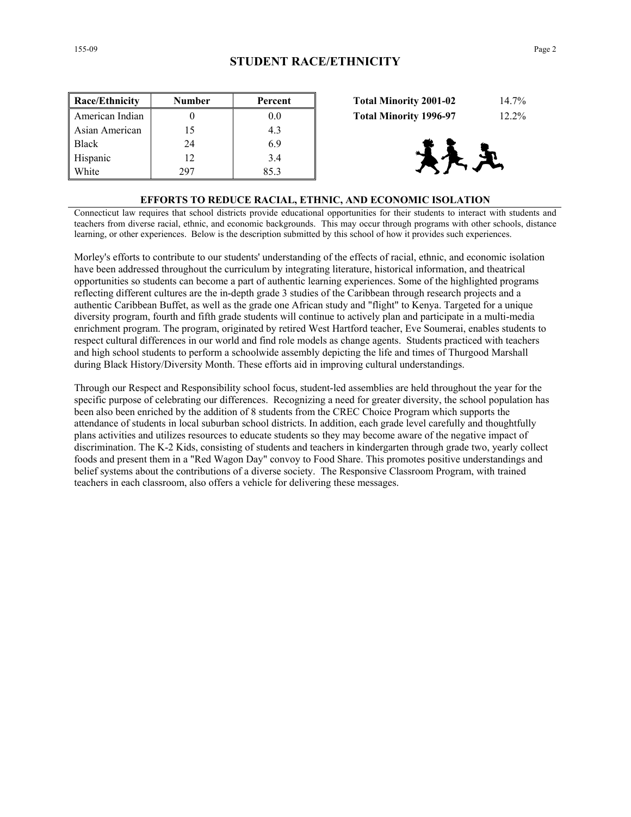| <b>Race/Ethnicity</b> | <b>Number</b> | Percent | 14.7%<br><b>Total Minority 2001-02</b>    |
|-----------------------|---------------|---------|-------------------------------------------|
| American Indian       |               | 0.0     | $12.2\%$<br><b>Total Minority 1996-97</b> |
| Asian American        | 15            | 4.3     |                                           |
| <b>Black</b>          | 24            | 6.9     |                                           |
| Hispanic              | 12            | 3.4     | 大足                                        |
| White                 | 297           | 85.3    |                                           |

| <b>Total Minority 2001-02</b> | 14.7%    |
|-------------------------------|----------|
| <b>Total Minority 1996-97</b> | $12.2\%$ |



#### **EFFORTS TO REDUCE RACIAL, ETHNIC, AND ECONOMIC ISOLATION**

Connecticut law requires that school districts provide educational opportunities for their students to interact with students and teachers from diverse racial, ethnic, and economic backgrounds. This may occur through programs with other schools, distance learning, or other experiences. Below is the description submitted by this school of how it provides such experiences.

Morley's efforts to contribute to our students' understanding of the effects of racial, ethnic, and economic isolation have been addressed throughout the curriculum by integrating literature, historical information, and theatrical opportunities so students can become a part of authentic learning experiences. Some of the highlighted programs reflecting different cultures are the in-depth grade 3 studies of the Caribbean through research projects and a authentic Caribbean Buffet, as well as the grade one African study and "flight" to Kenya. Targeted for a unique diversity program, fourth and fifth grade students will continue to actively plan and participate in a multi-media enrichment program. The program, originated by retired West Hartford teacher, Eve Soumerai, enables students to respect cultural differences in our world and find role models as change agents. Students practiced with teachers and high school students to perform a schoolwide assembly depicting the life and times of Thurgood Marshall during Black History/Diversity Month. These efforts aid in improving cultural understandings.

Through our Respect and Responsibility school focus, student-led assemblies are held throughout the year for the specific purpose of celebrating our differences. Recognizing a need for greater diversity, the school population has been also been enriched by the addition of 8 students from the CREC Choice Program which supports the attendance of students in local suburban school districts. In addition, each grade level carefully and thoughtfully plans activities and utilizes resources to educate students so they may become aware of the negative impact of discrimination. The K-2 Kids, consisting of students and teachers in kindergarten through grade two, yearly collect foods and present them in a "Red Wagon Day" convoy to Food Share. This promotes positive understandings and belief systems about the contributions of a diverse society. The Responsive Classroom Program, with trained teachers in each classroom, also offers a vehicle for delivering these messages.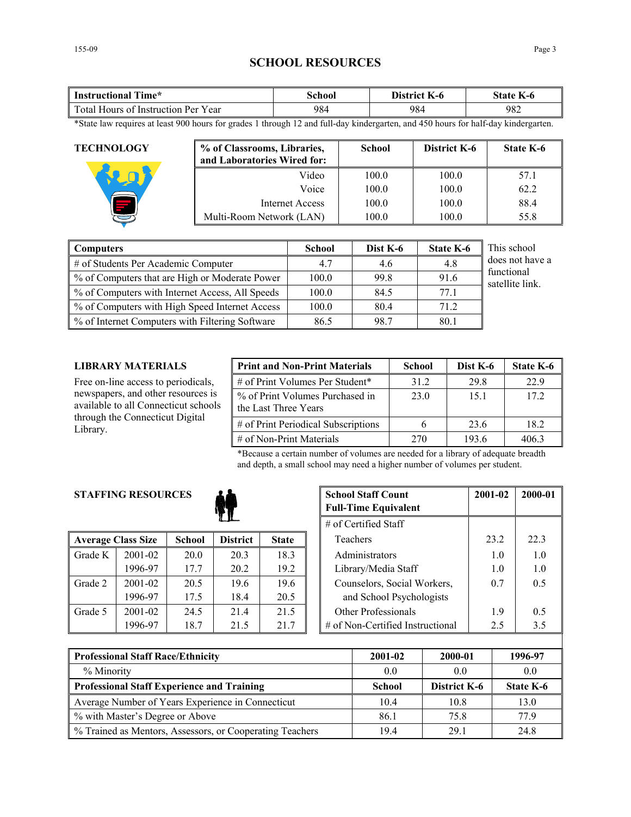# **SCHOOL RESOURCES**

| <b>Instructional Time*</b>          | School | District K-6 | State K-6 |  |
|-------------------------------------|--------|--------------|-----------|--|
| Total Hours of Instruction Per Year | 984    | 984          | 982       |  |

\*State law requires at least 900 hours for grades 1 through 12 and full-day kindergarten, and 450 hours for half-day kindergarten.

| <b>TECHNOLOGY</b> | % of Classrooms, Libraries,<br>and Laboratories Wired for: | <b>School</b> | <b>District K-6</b> | <b>State K-6</b> |
|-------------------|------------------------------------------------------------|---------------|---------------------|------------------|
|                   | Video                                                      | 100.0         | 100.0               | 57.1             |
|                   | Voice                                                      | 100.0         | 100.0               | 62.2             |
|                   | Internet Access                                            | 100.0         | 100.0               | 88.4             |
|                   | Multi-Room Network (LAN)                                   | 100.0         | 100.0               | 55.8             |

| Computers                                       | <b>School</b> | Dist K-6 | <b>State K-6</b> | This school                   |
|-------------------------------------------------|---------------|----------|------------------|-------------------------------|
| # of Students Per Academic Computer             | 4.7           | 4.6      | 4.8              | does not have a               |
| % of Computers that are High or Moderate Power  | 100.0         | 99.8     | 91.6             | functional<br>satellite link. |
| % of Computers with Internet Access, All Speeds | 100.0         | 84.5     | 77.1             |                               |
| % of Computers with High Speed Internet Access  | 100.0         | 80.4     | 71.2             |                               |
| % of Internet Computers with Filtering Software | 86.5          | 98.7     | 80.1             |                               |

## **LIBRARY MATERIALS**

Free on-line access to periodicals, newspapers, and other resources is available to all Connecticut schools through the Connecticut Digital Library.

| <b>Print and Non-Print Materials</b>                    | <b>School</b> | Dist K-6 | State K-6 |
|---------------------------------------------------------|---------------|----------|-----------|
| # of Print Volumes Per Student*                         | 31.2          | 29.8     | 22.9      |
| % of Print Volumes Purchased in<br>the Last Three Years | 23.0          | 15.1     | 172       |
| # of Print Periodical Subscriptions                     |               | 23.6     | 18.2      |
| $\#$ of Non-Print Materials                             | 270           | 193.6    | 4063      |

\*Because a certain number of volumes are needed for a library of adequate breadth and depth, a small school may need a higher number of volumes per student.

# **STAFFING RESOURCES**



|         |                           |               |                 |              | $\mu$ of centrica bian           |     |      |
|---------|---------------------------|---------------|-----------------|--------------|----------------------------------|-----|------|
|         | <b>Average Class Size</b> | <b>School</b> | <b>District</b> | <b>State</b> | Teachers                         |     | 22.3 |
| Grade K | 2001-02                   | 20.0          | 20.3            | 18.3         | Administrators                   | 1.0 |      |
|         | 1996-97                   | 17.7          | 20.2            | 19.2         | Library/Media Staff              | 1.0 |      |
| Grade 2 | $2001 - 02$               | 20.5          | 19.6            | 19.6         | Counselors, Social Workers,      | 0.7 |      |
|         | 1996-97                   | 17.5          | 18.4            | 20.5         | and School Psychologists         |     |      |
| Grade 5 | 2001-02                   | 24.5          | 214             | 21.5         | Other Professionals              | 1.9 |      |
|         | 1996-97                   | 18.7          | 21.5            | 21.7         | # of Non-Certified Instructional | 2.5 |      |

| <b>RESOURCES</b> |               | <b>School Staff Count</b><br><b>Full-Time Equivalent</b> | 2001-02      | 2000-01                     |                                  |      |      |
|------------------|---------------|----------------------------------------------------------|--------------|-----------------------------|----------------------------------|------|------|
|                  |               | $#$ of Certified Staff                                   |              |                             |                                  |      |      |
| ass Size         | <b>School</b> | <b>District</b>                                          | <b>State</b> |                             | Teachers                         | 23.2 | 22.3 |
| 2001-02          | 20.0          | 20.3                                                     | 18.3         |                             | Administrators                   | 1.0  | 1.0  |
| 1996-97          | 17.7          | 20.2                                                     | 19.2         |                             | Library/Media Staff              | 1.0  | 1.0  |
| 2001-02          | 20.5          | 19.6                                                     | 19.6         | Counselors, Social Workers, |                                  | 0.7  | 0.5  |
| 1996-97          | 17.5          | 18.4                                                     | 20.5         | and School Psychologists    |                                  |      |      |
| 2001-02          | 24.5          | 21.4                                                     | 21.5         |                             | Other Professionals              | 1.9  | 0.5  |
| 1996-97          | 18.7          | 21.5                                                     | 21.7         |                             | # of Non-Certified Instructional | 2.5  | 3.5  |

| <b>Professional Staff Race/Ethnicity</b>                 | 2001-02       | 2000-01      | 1996-97   |
|----------------------------------------------------------|---------------|--------------|-----------|
| % Minority                                               | 0.0           | (0.0)        | 0.0       |
| <b>Professional Staff Experience and Training</b>        | <b>School</b> | District K-6 | State K-6 |
| Average Number of Years Experience in Connecticut        | 10.4          | 10.8         | 13.0      |
| % with Master's Degree or Above                          | 86.1          | 75.8         | 77 9      |
| % Trained as Mentors, Assessors, or Cooperating Teachers | 194           | 29.1         | 24.8      |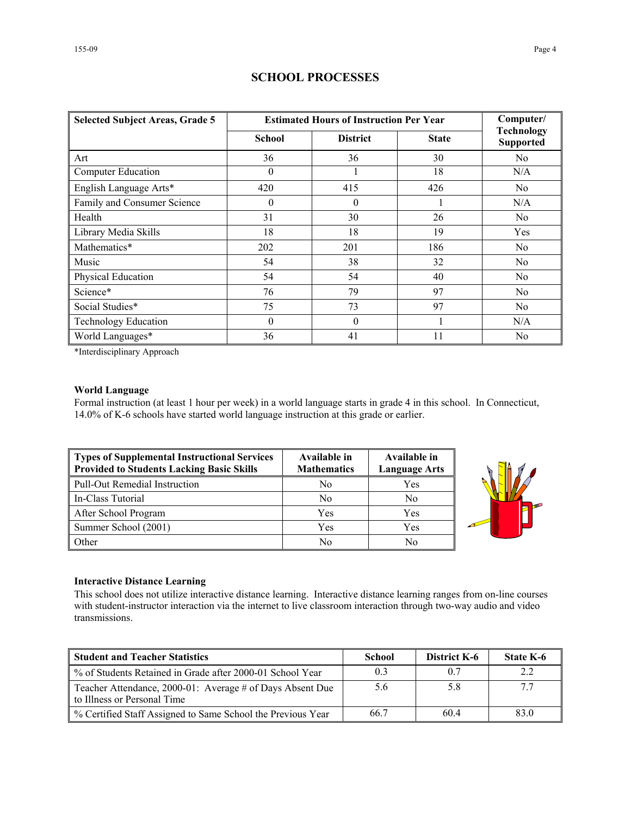| <b>Selected Subject Areas, Grade 5</b> | <b>Estimated Hours of Instruction Per Year</b> | Computer/       |              |                                       |
|----------------------------------------|------------------------------------------------|-----------------|--------------|---------------------------------------|
|                                        | <b>School</b>                                  | <b>District</b> | <b>State</b> | <b>Technology</b><br><b>Supported</b> |
| Art                                    | 36                                             | 36              | 30           | N <sub>0</sub>                        |
| Computer Education                     | $\theta$                                       |                 | 18           | N/A                                   |
| English Language Arts*                 | 420                                            | 415             | 426          | No                                    |
| Family and Consumer Science            | $\theta$                                       | $\theta$        |              | N/A                                   |
| Health                                 | 31                                             | 30              | 26           | N <sub>0</sub>                        |
| Library Media Skills                   | 18                                             | 18              | 19           | Yes                                   |
| Mathematics*                           | 202                                            | 201             | 186          | N <sub>0</sub>                        |
| Music                                  | 54                                             | 38              | 32           | N <sub>0</sub>                        |
| Physical Education                     | 54                                             | 54              | 40           | N <sub>0</sub>                        |
| Science*                               | 76                                             | 79              | 97           | N <sub>0</sub>                        |
| Social Studies*                        | 75                                             | 73              | 97           | N <sub>0</sub>                        |
| <b>Technology Education</b>            | $\theta$                                       | $\theta$        |              | N/A                                   |
| World Languages*                       | 36                                             | 41              | 11           | No                                    |

# **SCHOOL PROCESSES**

\*Interdisciplinary Approach

## **World Language**

Formal instruction (at least 1 hour per week) in a world language starts in grade 4 in this school. In Connecticut, 14.0% of K-6 schools have started world language instruction at this grade or earlier.

| Types of Supplemental Instructional Services<br><b>Provided to Students Lacking Basic Skills</b> | Available in<br><b>Mathematics</b> | Available in<br><b>Language Arts</b> |
|--------------------------------------------------------------------------------------------------|------------------------------------|--------------------------------------|
| Pull-Out Remedial Instruction                                                                    | No                                 | Yes                                  |
| In-Class Tutorial                                                                                | N <sub>0</sub>                     | No                                   |
| After School Program                                                                             | Yes                                | Yes                                  |
| Summer School (2001)                                                                             | Yes                                | Yes                                  |
| Other                                                                                            | No                                 | No                                   |



#### **Interactive Distance Learning**

This school does not utilize interactive distance learning. Interactive distance learning ranges from on-line courses with student-instructor interaction via the internet to live classroom interaction through two-way audio and video transmissions.

| <b>Student and Teacher Statistics</b>                                                    | School | <b>District K-6</b> | <b>State K-6</b> |
|------------------------------------------------------------------------------------------|--------|---------------------|------------------|
| ■ % of Students Retained in Grade after 2000-01 School Year                              |        | 0.7                 |                  |
| Teacher Attendance, 2000-01: Average # of Days Absent Due<br>to Illness or Personal Time | 5.6    | 5.8                 |                  |
| ■ % Certified Staff Assigned to Same School the Previous Year                            | 66.7   | 60.4                | 83.0             |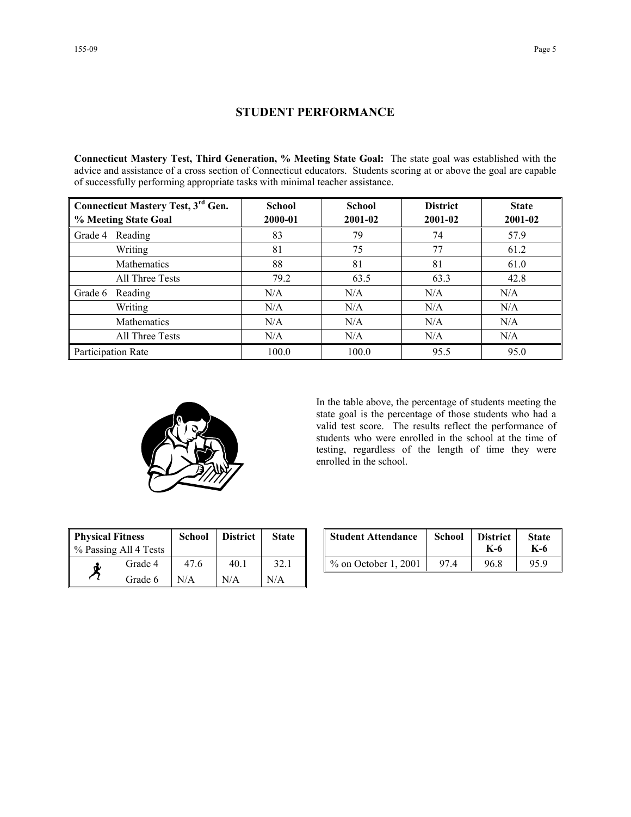## **STUDENT PERFORMANCE**

**Connecticut Mastery Test, Third Generation, % Meeting State Goal:** The state goal was established with the advice and assistance of a cross section of Connecticut educators. Students scoring at or above the goal are capable of successfully performing appropriate tasks with minimal teacher assistance.

| <b>Connecticut Mastery Test, 3rd Gen.</b> | <b>School</b> | <b>School</b> | <b>District</b> | <b>State</b> |  |
|-------------------------------------------|---------------|---------------|-----------------|--------------|--|
| % Meeting State Goal                      | 2000-01       | 2001-02       | 2001-02         | 2001-02      |  |
| Reading<br>Grade 4                        | 83            | 79            | 74              | 57.9         |  |
| Writing                                   | 81            | 75            | 77              | 61.2         |  |
| Mathematics                               | 88            | 81            | 81              | 61.0         |  |
| All Three Tests                           | 79.2          | 63.5          | 63.3            | 42.8         |  |
| Grade 6<br>Reading                        | N/A           | N/A           | N/A             | N/A          |  |
| Writing                                   | N/A           | N/A           | N/A             | N/A          |  |
| Mathematics                               | N/A           | N/A           | N/A             | N/A          |  |
| All Three Tests                           | N/A           | N/A           | N/A             | N/A          |  |
| Participation Rate                        | 100.0         | 100.0         | 95.5            | 95.0         |  |



In the table above, the percentage of students meeting the state goal is the percentage of those students who had a valid test score. The results reflect the performance of students who were enrolled in the school at the time of testing, regardless of the length of time they were enrolled in the school.

| <b>Physical Fitness</b><br>% Passing All 4 Tests |         | <b>School</b> | <b>District</b> | <b>State</b> |
|--------------------------------------------------|---------|---------------|-----------------|--------------|
| Œ.                                               | Grade 4 | 47.6          | 40 1            | 32.1         |
|                                                  | Grade 6 | N/A           | N/A             | N/A          |

| ness<br>ll 4 Tests | <b>School</b> | <b>District</b> | <b>State</b> | <b>Student Attendance</b> | <b>School</b> | <b>District</b><br>K-6 | <b>State</b><br>K-6 |
|--------------------|---------------|-----------------|--------------|---------------------------|---------------|------------------------|---------------------|
| Grade 4            | 47.6          | 40.1            | 32.1         | $\%$ on October 1, 2001   | 974           | 96.8                   | 95.9                |